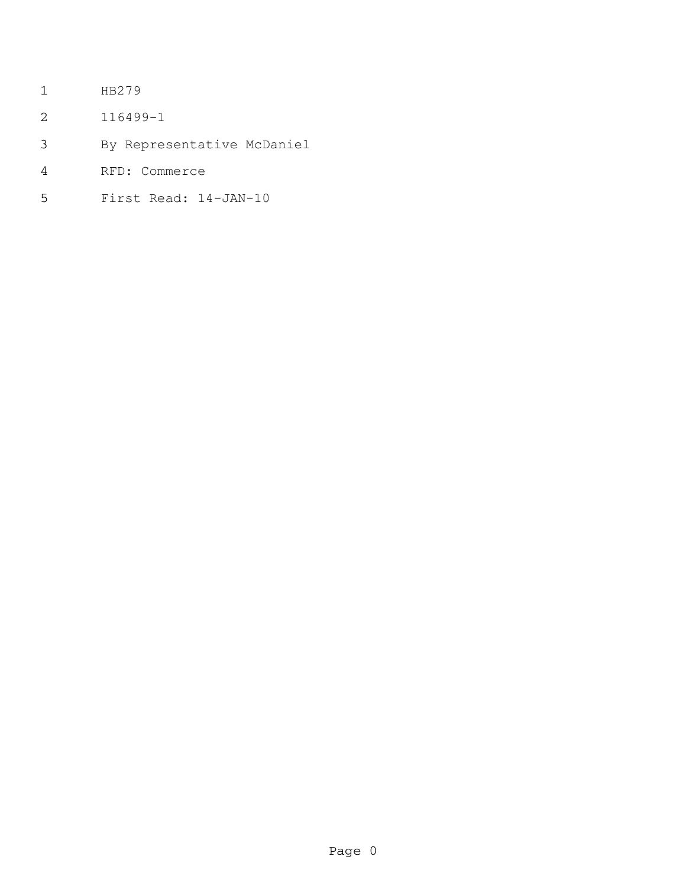- HB279
- 116499-1
- By Representative McDaniel
- RFD: Commerce
- First Read: 14-JAN-10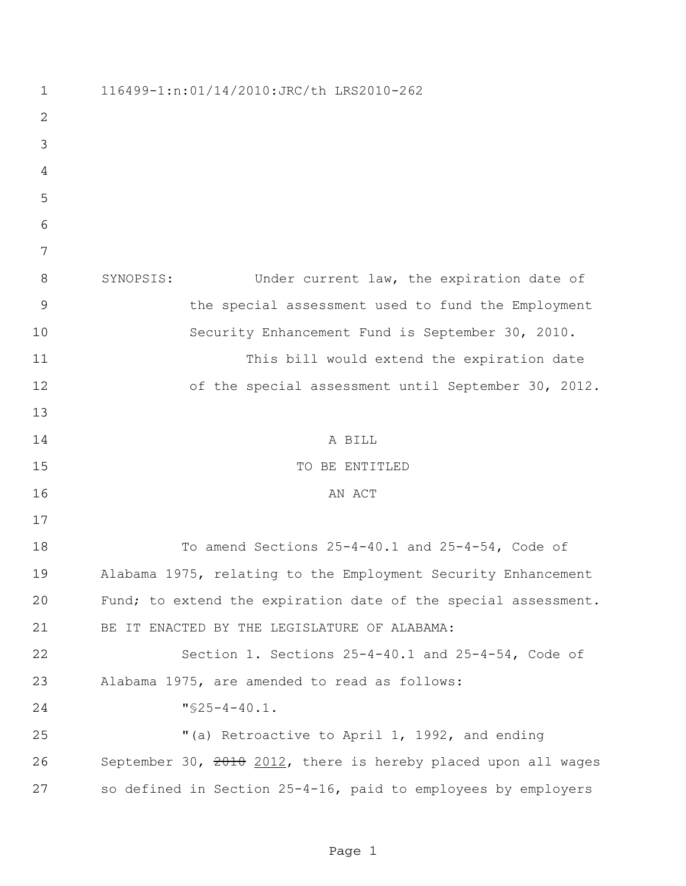| $\mathbf 1$    | 116499-1:n:01/14/2010: JRC/th LRS2010-262                      |
|----------------|----------------------------------------------------------------|
| 2              |                                                                |
| 3              |                                                                |
| 4              |                                                                |
| 5              |                                                                |
| 6              |                                                                |
| 7              |                                                                |
| 8              | Under current law, the expiration date of<br>SYNOPSIS:         |
| $\overline{9}$ | the special assessment used to fund the Employment             |
| 10             | Security Enhancement Fund is September 30, 2010.               |
| 11             | This bill would extend the expiration date                     |
| 12             | of the special assessment until September 30, 2012.            |
| 13             |                                                                |
| 14             | A BILL                                                         |
| 15             | TO BE ENTITLED                                                 |
| 16             | AN ACT                                                         |
| 17             |                                                                |
| 18             | To amend Sections $25-4-40.1$ and $25-4-54$ , Code of          |
| 19             | Alabama 1975, relating to the Employment Security Enhancement  |
| 20             | Fund; to extend the expiration date of the special assessment. |
| 21             | BE IT ENACTED BY THE LEGISLATURE OF ALABAMA:                   |
| 22             | Section 1. Sections 25-4-40.1 and 25-4-54, Code of             |
| 23             | Alabama 1975, are amended to read as follows:                  |
| 24             | $"$ \$25-4-40.1.                                               |
| 25             | "(a) Retroactive to April 1, 1992, and ending                  |
| 26             | September 30, 2010 2012, there is hereby placed upon all wages |
| 27             | so defined in Section 25-4-16, paid to employees by employers  |

Page 1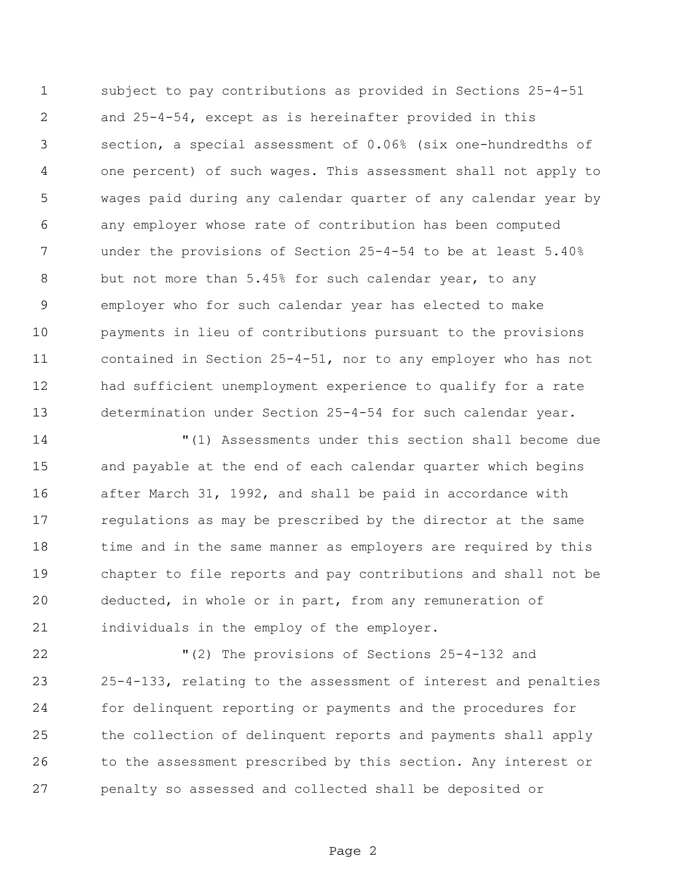subject to pay contributions as provided in Sections 25-4-51 and 25-4-54, except as is hereinafter provided in this section, a special assessment of 0.06% (six one-hundredths of one percent) of such wages. This assessment shall not apply to wages paid during any calendar quarter of any calendar year by any employer whose rate of contribution has been computed under the provisions of Section 25-4-54 to be at least 5.40% but not more than 5.45% for such calendar year, to any employer who for such calendar year has elected to make payments in lieu of contributions pursuant to the provisions contained in Section 25-4-51, nor to any employer who has not had sufficient unemployment experience to qualify for a rate determination under Section 25-4-54 for such calendar year.

 "(1) Assessments under this section shall become due and payable at the end of each calendar quarter which begins after March 31, 1992, and shall be paid in accordance with regulations as may be prescribed by the director at the same time and in the same manner as employers are required by this chapter to file reports and pay contributions and shall not be deducted, in whole or in part, from any remuneration of individuals in the employ of the employer.

 "(2) The provisions of Sections 25-4-132 and 25-4-133, relating to the assessment of interest and penalties for delinquent reporting or payments and the procedures for the collection of delinquent reports and payments shall apply to the assessment prescribed by this section. Any interest or penalty so assessed and collected shall be deposited or

Page 2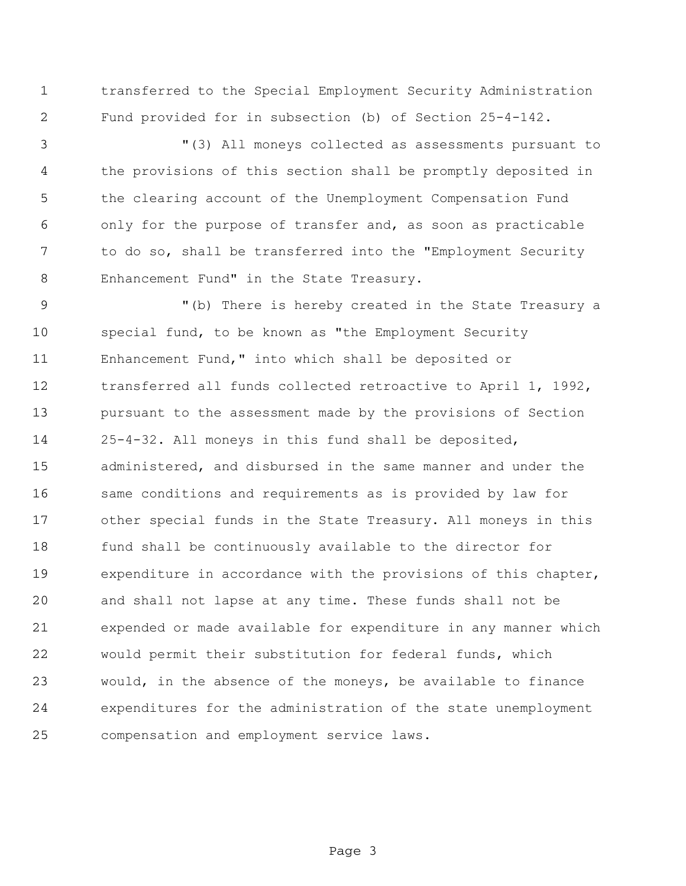transferred to the Special Employment Security Administration Fund provided for in subsection (b) of Section 25-4-142.

 "(3) All moneys collected as assessments pursuant to the provisions of this section shall be promptly deposited in the clearing account of the Unemployment Compensation Fund only for the purpose of transfer and, as soon as practicable to do so, shall be transferred into the "Employment Security Enhancement Fund" in the State Treasury.

 "(b) There is hereby created in the State Treasury a special fund, to be known as "the Employment Security Enhancement Fund," into which shall be deposited or transferred all funds collected retroactive to April 1, 1992, pursuant to the assessment made by the provisions of Section 25-4-32. All moneys in this fund shall be deposited, administered, and disbursed in the same manner and under the same conditions and requirements as is provided by law for other special funds in the State Treasury. All moneys in this fund shall be continuously available to the director for expenditure in accordance with the provisions of this chapter, and shall not lapse at any time. These funds shall not be expended or made available for expenditure in any manner which would permit their substitution for federal funds, which would, in the absence of the moneys, be available to finance expenditures for the administration of the state unemployment compensation and employment service laws.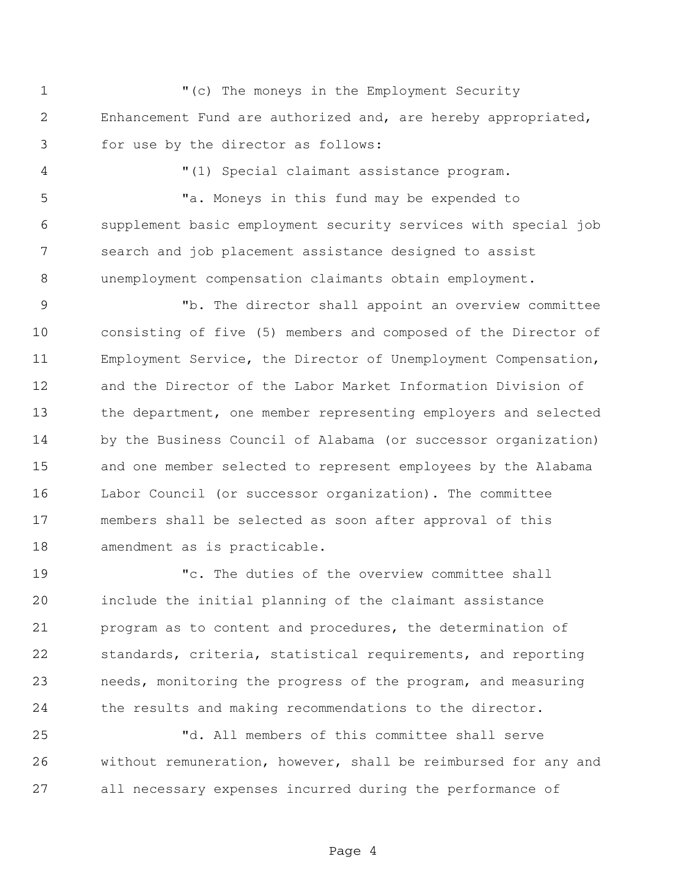"(c) The moneys in the Employment Security Enhancement Fund are authorized and, are hereby appropriated, for use by the director as follows:

"(1) Special claimant assistance program.

 "a. Moneys in this fund may be expended to supplement basic employment security services with special job search and job placement assistance designed to assist unemployment compensation claimants obtain employment.

 "b. The director shall appoint an overview committee consisting of five (5) members and composed of the Director of Employment Service, the Director of Unemployment Compensation, and the Director of the Labor Market Information Division of the department, one member representing employers and selected by the Business Council of Alabama (or successor organization) and one member selected to represent employees by the Alabama Labor Council (or successor organization). The committee members shall be selected as soon after approval of this amendment as is practicable.

 "c. The duties of the overview committee shall include the initial planning of the claimant assistance program as to content and procedures, the determination of standards, criteria, statistical requirements, and reporting needs, monitoring the progress of the program, and measuring the results and making recommendations to the director.

 "d. All members of this committee shall serve without remuneration, however, shall be reimbursed for any and all necessary expenses incurred during the performance of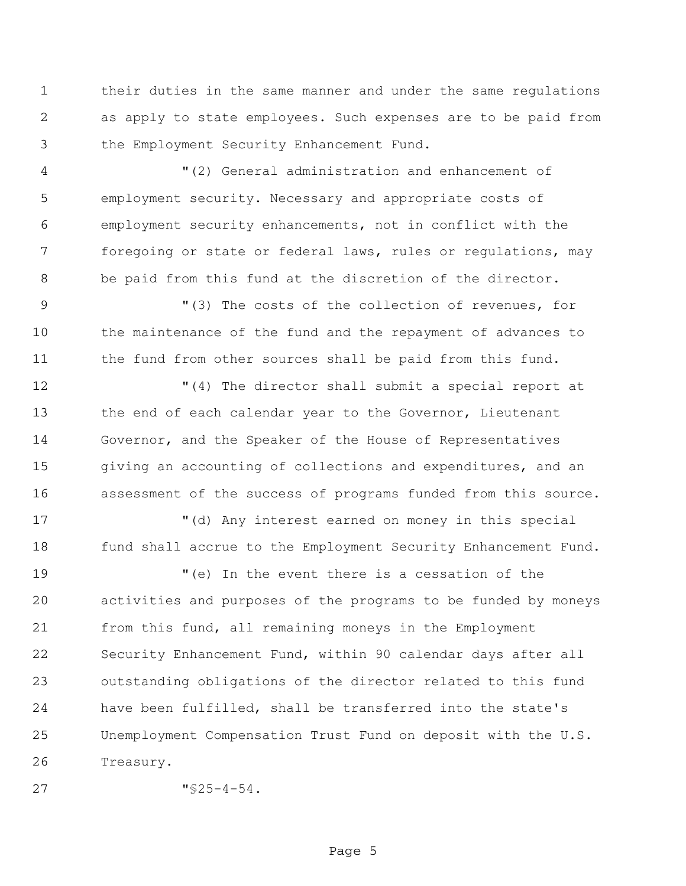their duties in the same manner and under the same regulations as apply to state employees. Such expenses are to be paid from the Employment Security Enhancement Fund.

 "(2) General administration and enhancement of employment security. Necessary and appropriate costs of employment security enhancements, not in conflict with the foregoing or state or federal laws, rules or regulations, may be paid from this fund at the discretion of the director.

9 "(3) The costs of the collection of revenues, for the maintenance of the fund and the repayment of advances to 11 the fund from other sources shall be paid from this fund.

 "(4) The director shall submit a special report at the end of each calendar year to the Governor, Lieutenant Governor, and the Speaker of the House of Representatives 15 giving an accounting of collections and expenditures, and an assessment of the success of programs funded from this source.

 "(d) Any interest earned on money in this special 18 fund shall accrue to the Employment Security Enhancement Fund.

 "(e) In the event there is a cessation of the activities and purposes of the programs to be funded by moneys from this fund, all remaining moneys in the Employment Security Enhancement Fund, within 90 calendar days after all outstanding obligations of the director related to this fund have been fulfilled, shall be transferred into the state's Unemployment Compensation Trust Fund on deposit with the U.S. Treasury.

```
27 "§25-4-54.
```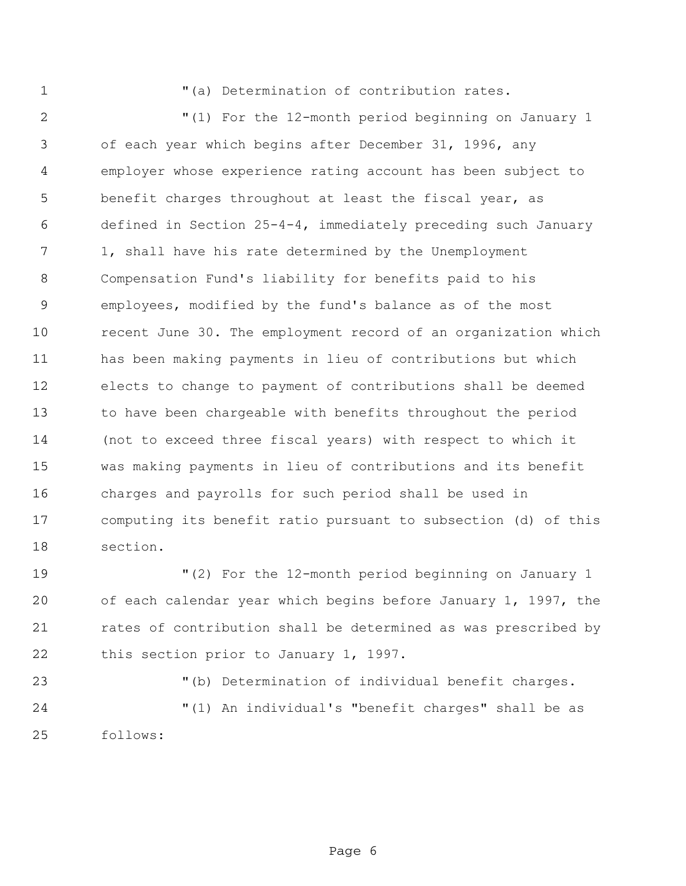"(a) Determination of contribution rates.

 "(1) For the 12-month period beginning on January 1 of each year which begins after December 31, 1996, any employer whose experience rating account has been subject to benefit charges throughout at least the fiscal year, as defined in Section 25-4-4, immediately preceding such January 1, shall have his rate determined by the Unemployment Compensation Fund's liability for benefits paid to his employees, modified by the fund's balance as of the most recent June 30. The employment record of an organization which has been making payments in lieu of contributions but which elects to change to payment of contributions shall be deemed to have been chargeable with benefits throughout the period (not to exceed three fiscal years) with respect to which it was making payments in lieu of contributions and its benefit charges and payrolls for such period shall be used in computing its benefit ratio pursuant to subsection (d) of this section.

 "(2) For the 12-month period beginning on January 1 of each calendar year which begins before January 1, 1997, the rates of contribution shall be determined as was prescribed by this section prior to January 1, 1997.

"(b) Determination of individual benefit charges.

 "(1) An individual's "benefit charges" shall be as follows: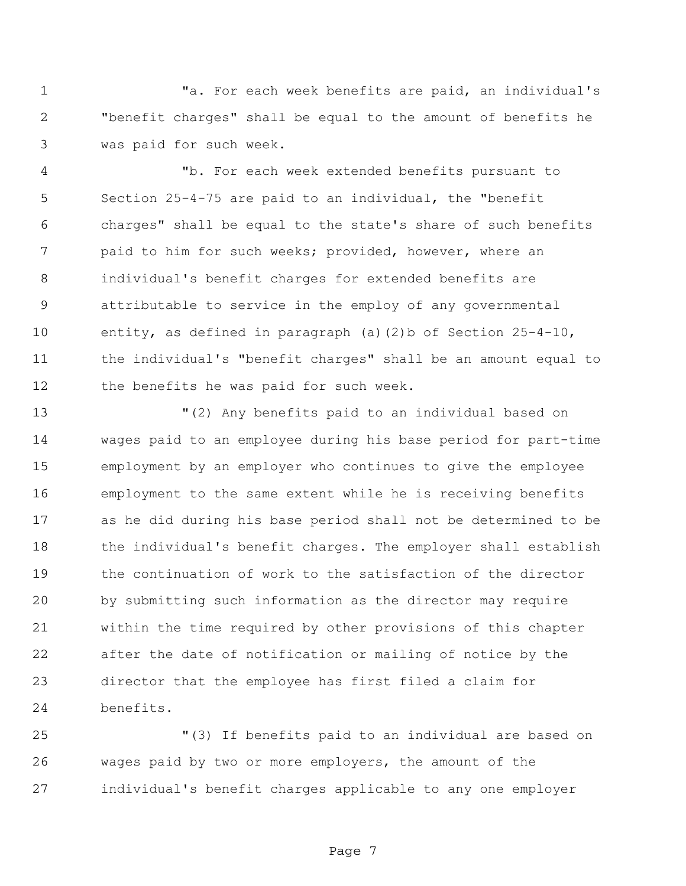"a. For each week benefits are paid, an individual's "benefit charges" shall be equal to the amount of benefits he was paid for such week.

 "b. For each week extended benefits pursuant to Section 25-4-75 are paid to an individual, the "benefit charges" shall be equal to the state's share of such benefits paid to him for such weeks; provided, however, where an individual's benefit charges for extended benefits are attributable to service in the employ of any governmental entity, as defined in paragraph (a)(2)b of Section 25-4-10, the individual's "benefit charges" shall be an amount equal to the benefits he was paid for such week.

 "(2) Any benefits paid to an individual based on wages paid to an employee during his base period for part-time employment by an employer who continues to give the employee employment to the same extent while he is receiving benefits as he did during his base period shall not be determined to be the individual's benefit charges. The employer shall establish the continuation of work to the satisfaction of the director by submitting such information as the director may require within the time required by other provisions of this chapter after the date of notification or mailing of notice by the director that the employee has first filed a claim for benefits.

 "(3) If benefits paid to an individual are based on wages paid by two or more employers, the amount of the individual's benefit charges applicable to any one employer

Page 7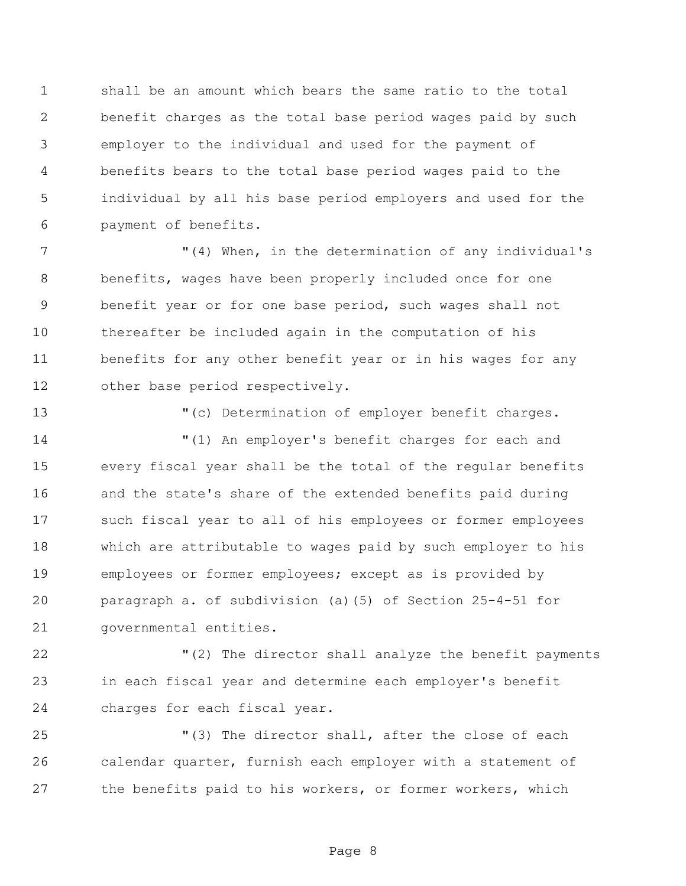shall be an amount which bears the same ratio to the total benefit charges as the total base period wages paid by such employer to the individual and used for the payment of benefits bears to the total base period wages paid to the individual by all his base period employers and used for the payment of benefits.

 "(4) When, in the determination of any individual's benefits, wages have been properly included once for one benefit year or for one base period, such wages shall not thereafter be included again in the computation of his benefits for any other benefit year or in his wages for any other base period respectively.

"(c) Determination of employer benefit charges.

 "(1) An employer's benefit charges for each and every fiscal year shall be the total of the regular benefits and the state's share of the extended benefits paid during such fiscal year to all of his employees or former employees which are attributable to wages paid by such employer to his employees or former employees; except as is provided by paragraph a. of subdivision (a)(5) of Section 25-4-51 for governmental entities.

22 The director shall analyze the benefit payments in each fiscal year and determine each employer's benefit charges for each fiscal year.

 "(3) The director shall, after the close of each calendar quarter, furnish each employer with a statement of the benefits paid to his workers, or former workers, which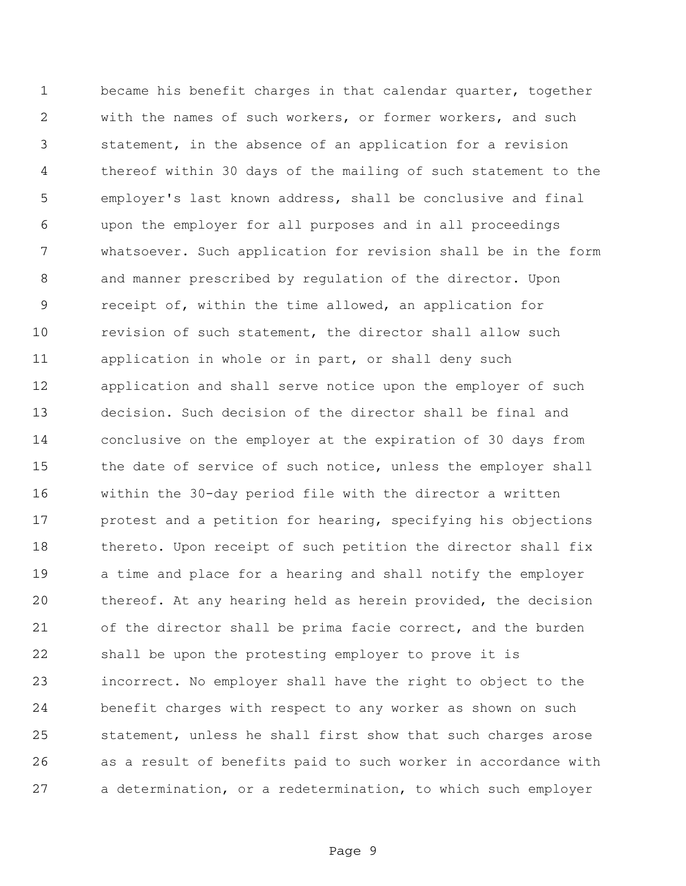became his benefit charges in that calendar quarter, together with the names of such workers, or former workers, and such statement, in the absence of an application for a revision thereof within 30 days of the mailing of such statement to the employer's last known address, shall be conclusive and final upon the employer for all purposes and in all proceedings whatsoever. Such application for revision shall be in the form and manner prescribed by regulation of the director. Upon receipt of, within the time allowed, an application for revision of such statement, the director shall allow such 11 application in whole or in part, or shall deny such application and shall serve notice upon the employer of such decision. Such decision of the director shall be final and conclusive on the employer at the expiration of 30 days from the date of service of such notice, unless the employer shall within the 30-day period file with the director a written protest and a petition for hearing, specifying his objections thereto. Upon receipt of such petition the director shall fix a time and place for a hearing and shall notify the employer thereof. At any hearing held as herein provided, the decision of the director shall be prima facie correct, and the burden shall be upon the protesting employer to prove it is incorrect. No employer shall have the right to object to the benefit charges with respect to any worker as shown on such statement, unless he shall first show that such charges arose as a result of benefits paid to such worker in accordance with a determination, or a redetermination, to which such employer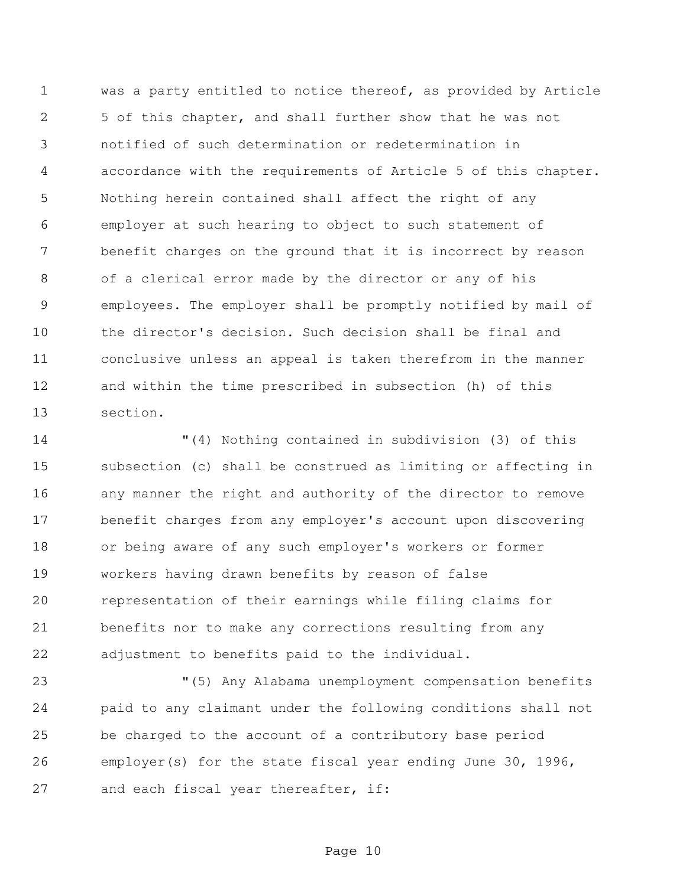was a party entitled to notice thereof, as provided by Article 5 of this chapter, and shall further show that he was not notified of such determination or redetermination in accordance with the requirements of Article 5 of this chapter. Nothing herein contained shall affect the right of any employer at such hearing to object to such statement of benefit charges on the ground that it is incorrect by reason of a clerical error made by the director or any of his employees. The employer shall be promptly notified by mail of the director's decision. Such decision shall be final and conclusive unless an appeal is taken therefrom in the manner and within the time prescribed in subsection (h) of this section.

 "(4) Nothing contained in subdivision (3) of this subsection (c) shall be construed as limiting or affecting in any manner the right and authority of the director to remove benefit charges from any employer's account upon discovering or being aware of any such employer's workers or former workers having drawn benefits by reason of false representation of their earnings while filing claims for benefits nor to make any corrections resulting from any adjustment to benefits paid to the individual.

 "(5) Any Alabama unemployment compensation benefits paid to any claimant under the following conditions shall not be charged to the account of a contributory base period employer(s) for the state fiscal year ending June 30, 1996, 27 and each fiscal year thereafter, if: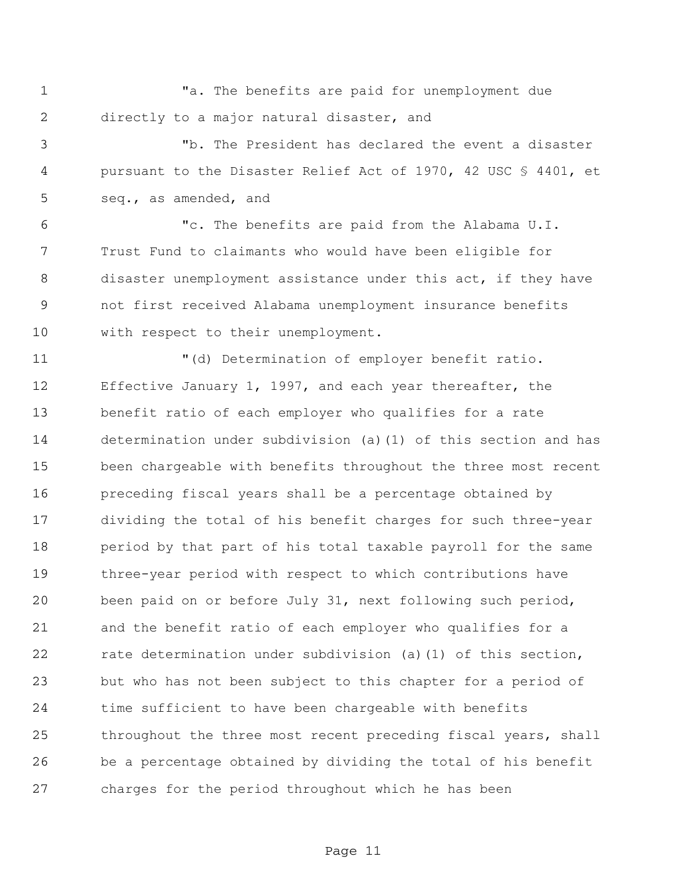"a. The benefits are paid for unemployment due directly to a major natural disaster, and

 "b. The President has declared the event a disaster pursuant to the Disaster Relief Act of 1970, 42 USC § 4401, et seq., as amended, and

 "c. The benefits are paid from the Alabama U.I. Trust Fund to claimants who would have been eligible for disaster unemployment assistance under this act, if they have not first received Alabama unemployment insurance benefits with respect to their unemployment.

 "(d) Determination of employer benefit ratio. Effective January 1, 1997, and each year thereafter, the benefit ratio of each employer who qualifies for a rate determination under subdivision (a)(1) of this section and has been chargeable with benefits throughout the three most recent preceding fiscal years shall be a percentage obtained by dividing the total of his benefit charges for such three-year period by that part of his total taxable payroll for the same three-year period with respect to which contributions have been paid on or before July 31, next following such period, and the benefit ratio of each employer who qualifies for a rate determination under subdivision (a)(1) of this section, but who has not been subject to this chapter for a period of time sufficient to have been chargeable with benefits throughout the three most recent preceding fiscal years, shall be a percentage obtained by dividing the total of his benefit charges for the period throughout which he has been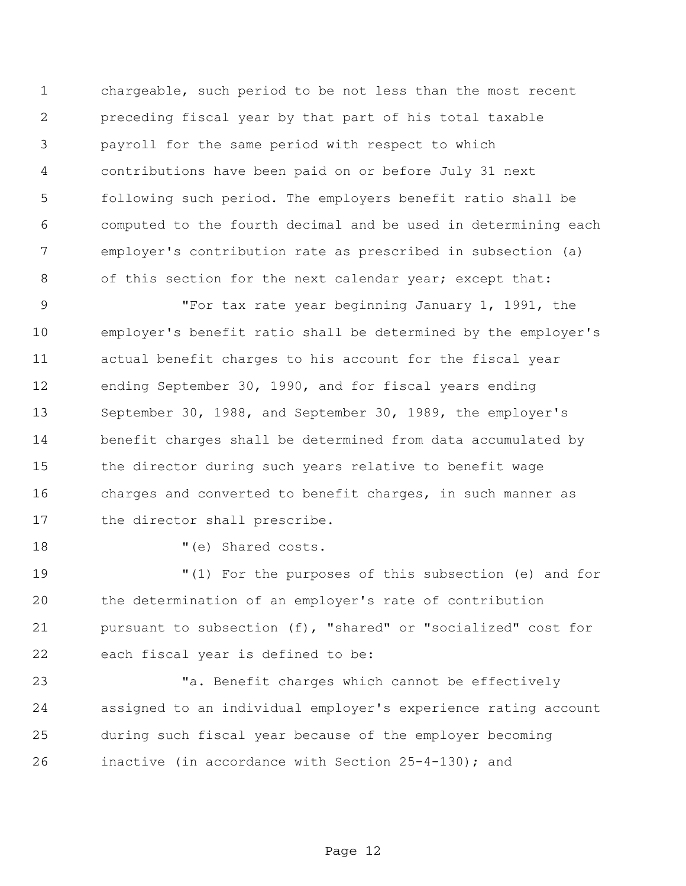chargeable, such period to be not less than the most recent preceding fiscal year by that part of his total taxable payroll for the same period with respect to which contributions have been paid on or before July 31 next following such period. The employers benefit ratio shall be computed to the fourth decimal and be used in determining each employer's contribution rate as prescribed in subsection (a) 8 of this section for the next calendar year; except that:

 "For tax rate year beginning January 1, 1991, the employer's benefit ratio shall be determined by the employer's actual benefit charges to his account for the fiscal year ending September 30, 1990, and for fiscal years ending September 30, 1988, and September 30, 1989, the employer's benefit charges shall be determined from data accumulated by the director during such years relative to benefit wage charges and converted to benefit charges, in such manner as the director shall prescribe.

18 T(e) Shared costs.

 "(1) For the purposes of this subsection (e) and for the determination of an employer's rate of contribution pursuant to subsection (f), "shared" or "socialized" cost for each fiscal year is defined to be:

 "a. Benefit charges which cannot be effectively assigned to an individual employer's experience rating account during such fiscal year because of the employer becoming inactive (in accordance with Section 25-4-130); and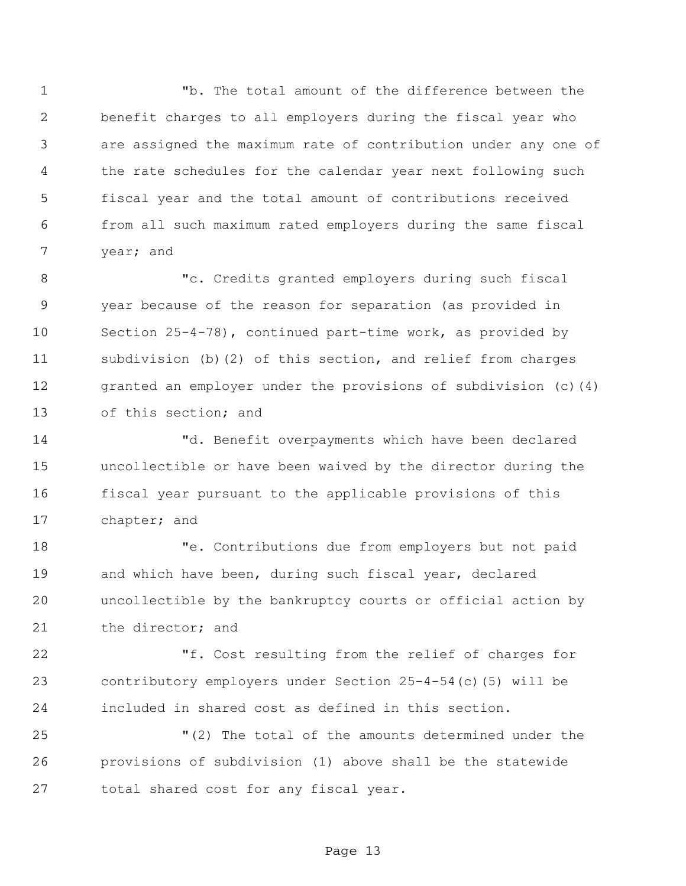"b. The total amount of the difference between the benefit charges to all employers during the fiscal year who are assigned the maximum rate of contribution under any one of the rate schedules for the calendar year next following such fiscal year and the total amount of contributions received from all such maximum rated employers during the same fiscal year; and

8 The Credits granted employers during such fiscal year because of the reason for separation (as provided in Section 25-4-78), continued part-time work, as provided by subdivision (b)(2) of this section, and relief from charges 12 granted an employer under the provisions of subdivision (c)(4) of this section; and

 "d. Benefit overpayments which have been declared uncollectible or have been waived by the director during the fiscal year pursuant to the applicable provisions of this chapter; and

 "e. Contributions due from employers but not paid and which have been, during such fiscal year, declared uncollectible by the bankruptcy courts or official action by the director; and

 "f. Cost resulting from the relief of charges for contributory employers under Section 25-4-54(c)(5) will be included in shared cost as defined in this section.

 "(2) The total of the amounts determined under the provisions of subdivision (1) above shall be the statewide total shared cost for any fiscal year.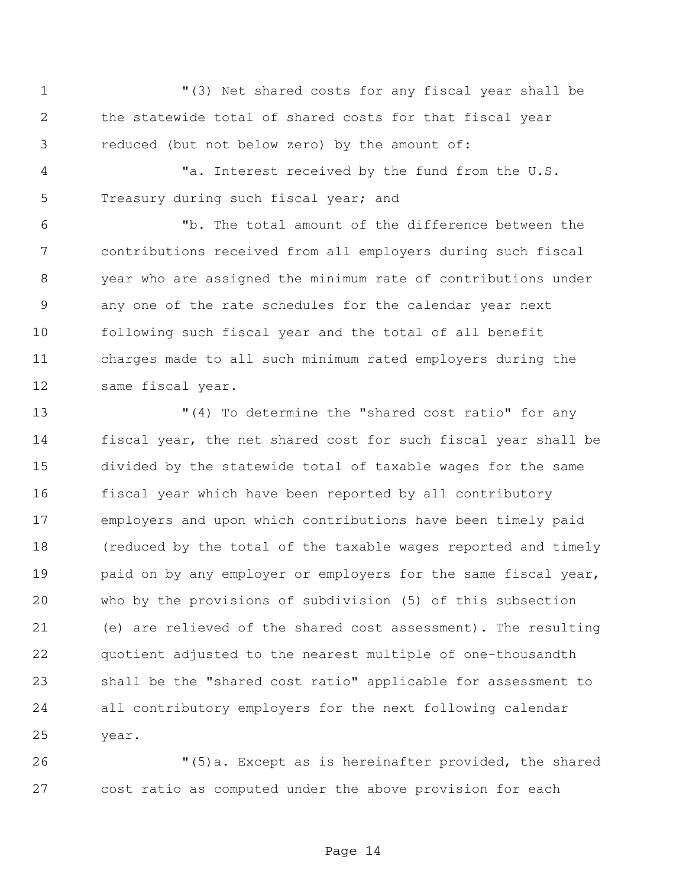"(3) Net shared costs for any fiscal year shall be the statewide total of shared costs for that fiscal year reduced (but not below zero) by the amount of:

 "a. Interest received by the fund from the U.S. 5 Treasury during such fiscal year; and

 "b. The total amount of the difference between the contributions received from all employers during such fiscal year who are assigned the minimum rate of contributions under any one of the rate schedules for the calendar year next following such fiscal year and the total of all benefit charges made to all such minimum rated employers during the same fiscal year.

 "(4) To determine the "shared cost ratio" for any fiscal year, the net shared cost for such fiscal year shall be divided by the statewide total of taxable wages for the same fiscal year which have been reported by all contributory employers and upon which contributions have been timely paid (reduced by the total of the taxable wages reported and timely 19 baid on by any employer or employers for the same fiscal year, who by the provisions of subdivision (5) of this subsection (e) are relieved of the shared cost assessment). The resulting quotient adjusted to the nearest multiple of one-thousandth shall be the "shared cost ratio" applicable for assessment to all contributory employers for the next following calendar year.

 "(5)a. Except as is hereinafter provided, the shared cost ratio as computed under the above provision for each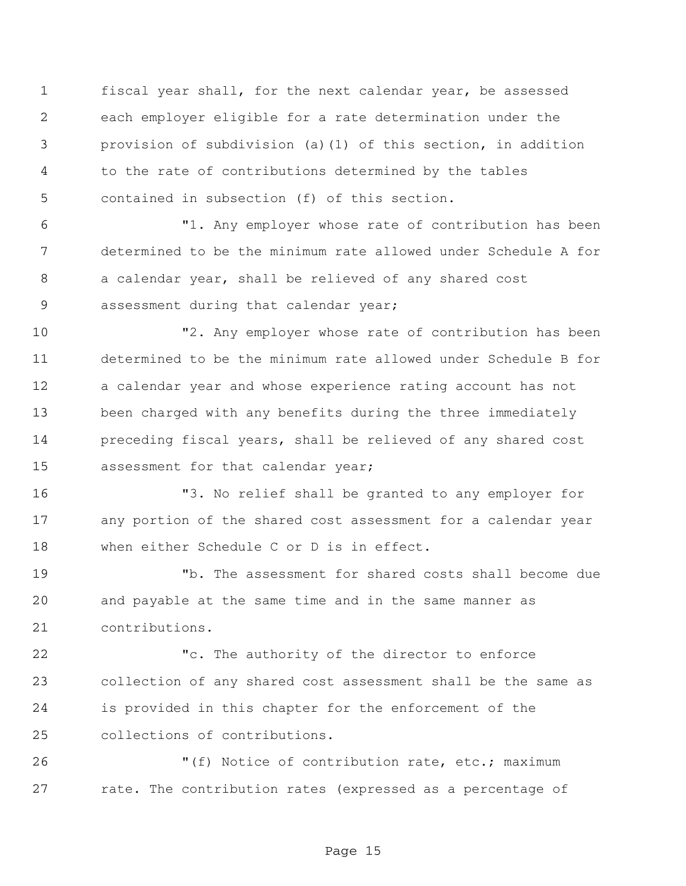fiscal year shall, for the next calendar year, be assessed each employer eligible for a rate determination under the provision of subdivision (a)(1) of this section, in addition to the rate of contributions determined by the tables contained in subsection (f) of this section.

 "1. Any employer whose rate of contribution has been determined to be the minimum rate allowed under Schedule A for a calendar year, shall be relieved of any shared cost assessment during that calendar year;

 "2. Any employer whose rate of contribution has been determined to be the minimum rate allowed under Schedule B for a calendar year and whose experience rating account has not been charged with any benefits during the three immediately preceding fiscal years, shall be relieved of any shared cost assessment for that calendar year;

 "3. No relief shall be granted to any employer for any portion of the shared cost assessment for a calendar year when either Schedule C or D is in effect.

 "b. The assessment for shared costs shall become due and payable at the same time and in the same manner as contributions.

 "c. The authority of the director to enforce collection of any shared cost assessment shall be the same as is provided in this chapter for the enforcement of the collections of contributions.

26 "(f) Notice of contribution rate, etc.; maximum 27 rate. The contribution rates (expressed as a percentage of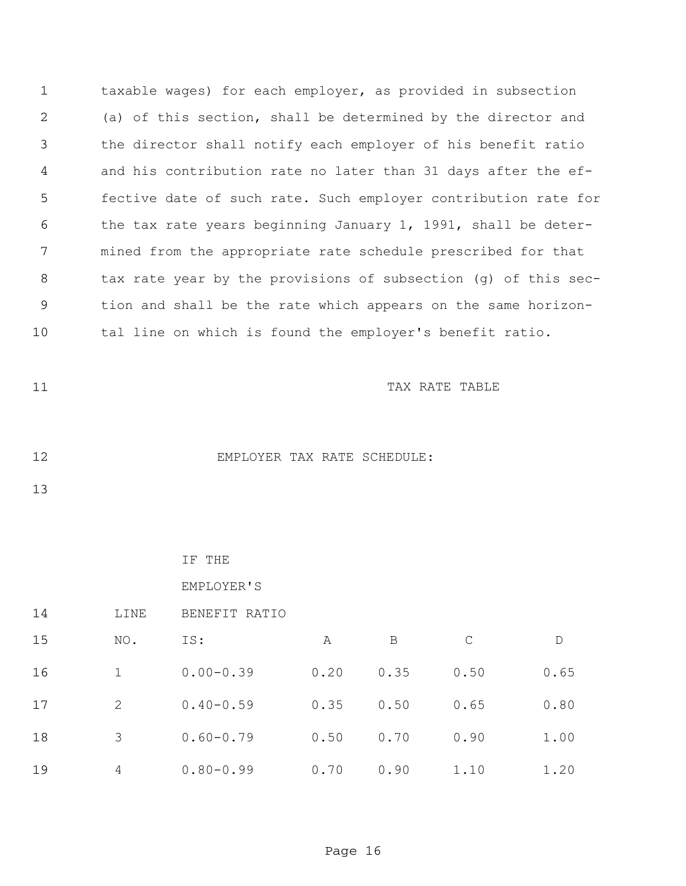taxable wages) for each employer, as provided in subsection (a) of this section, shall be determined by the director and the director shall notify each employer of his benefit ratio and his contribution rate no later than 31 days after the ef- fective date of such rate. Such employer contribution rate for the tax rate years beginning January 1, 1991, shall be deter- mined from the appropriate rate schedule prescribed for that tax rate year by the provisions of subsection (g) of this sec- tion and shall be the rate which appears on the same horizon-tal line on which is found the employer's benefit ratio.

11 TAX RATE TABLE

12 EMPLOYER TAX RATE SCHEDULE:

## IF THE

## EMPLOYER'S

| 14 | LINE           | BENEFIT RATIO |      |      |              |      |
|----|----------------|---------------|------|------|--------------|------|
| 15 | NO.            | IS:           | Α    | B    | $\mathsf{C}$ | D    |
| 16 |                | $0.00 - 0.39$ | 0.20 | 0.35 | 0.50         | 0.65 |
| 17 | 2              | $0.40 - 0.59$ | 0.35 | 0.50 | 0.65         | 0.80 |
| 18 | 3              | $0.60 - 0.79$ | 0.50 | 0.70 | 0.90         | 1.00 |
| 19 | $\overline{4}$ | $0.80 - 0.99$ | 0.70 | 0.90 | 1.10         | 1.20 |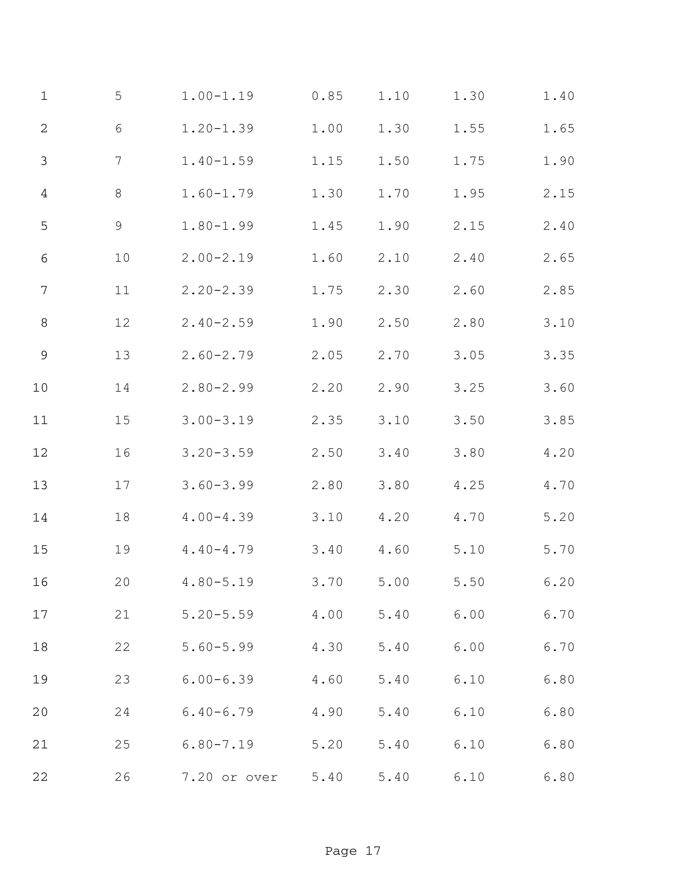| $\mathbf 1$    | 5     | $1.00 - 1.19$ | 0.85 | 1.10           | 1.30 | 1.40         |
|----------------|-------|---------------|------|----------------|------|--------------|
| $\sqrt{2}$     | $6\,$ | $1.20 - 1.39$ | 1.00 | 1.30           | 1.55 | 1.65         |
| $\mathfrak{Z}$ | 7     | $1.40 - 1.59$ | 1.15 | 1.50           | 1.75 | 1.90         |
| $\sqrt{4}$     | 8     | $1.60 - 1.79$ | 1.30 | 1.70           | 1.95 | 2.15         |
| 5              | 9     | $1.80 - 1.99$ | 1.45 | 1.90           | 2.15 | 2.40         |
| $\sqrt{6}$     | 10    | $2.00 - 2.19$ | 1.60 | 2.10           | 2.40 | 2.65         |
| $\overline{7}$ | 11    | $2.20 - 2.39$ | 1.75 | 2.30           | 2.60 | 2.85         |
| $\,8\,$        | 12    | $2.40 - 2.59$ | 1.90 | 2.50           | 2.80 | 3.10         |
| 9              | 13    | $2.60 - 2.79$ | 2.05 | 2.70           | 3.05 | 3.35         |
| $10$           | 14    | $2.80 - 2.99$ | 2.20 | 2.90           | 3.25 | 3.60         |
| $11$           | 15    | $3.00 - 3.19$ | 2.35 | 3.10           | 3.50 | 3.85         |
| $12$           | 16    | $3.20 - 3.59$ | 2.50 | 3.40           | 3.80 | 4.20         |
| 13             | 17    | $3.60 - 3.99$ | 2.80 | 3.80           | 4.25 | $4\,$ . $70$ |
| 14             | 18    | $4.00 - 4.39$ | 3.10 | 4.20           | 4.70 | 5.20         |
| 15             | 19    | $4.40 - 4.79$ | 3.40 | 4.60           | 5.10 | 5.70         |
| 16             | 20    | $4.80 - 5.19$ | 3.70 | 5.00           | 5.50 | 6.20         |
| 17             | 21    | $5.20 - 5.59$ | 4.00 | 5.40           | 6.00 | 6.70         |
| 18             | 22    | $5.60 - 5.99$ |      | 4.30 5.40 6.00 |      | 6.70         |
| 19             | 23    | $6.00 - 6.39$ | 4.60 | 5.40           | 6.10 | 6.80         |
| 20             | 24    | $6.40 - 6.79$ | 4.90 | 5.40 6.10      |      | 6.80         |
| 21             | 25    | $6.80 - 7.19$ | 5.20 | 5.40 6.10      |      | 6.80         |
| 22             | 26    | 7.20 or over  | 5.40 | 5.40           | 6.10 | 6.80         |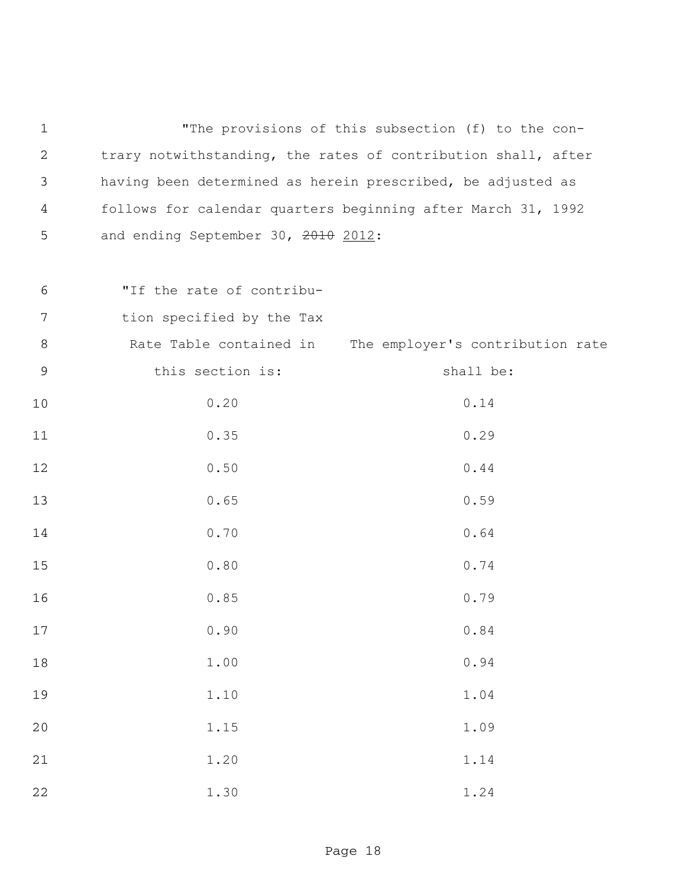"The provisions of this subsection (f) to the con- trary notwithstanding, the rates of contribution shall, after having been determined as herein prescribed, be adjusted as follows for calendar quarters beginning after March 31, 1992 5 and ending September 30, 2010 2012:

- "If the rate of contribu-
- tion specified by the Tax

| $\,8\,$ |                  | Rate Table contained in The employer's contribution rate |
|---------|------------------|----------------------------------------------------------|
| 9       | this section is: | shall be:                                                |
| $10$    | 0.20             | 0.14                                                     |
| $11$    | 0.35             | 0.29                                                     |
| $12\,$  | 0.50             | $0.44$                                                   |
| 13      | 0.65             | 0.59                                                     |
| 14      | 0.70             | 0.64                                                     |
| 15      | 0.80             | 0.74                                                     |
| 16      | 0.85             | 0.79                                                     |
| 17      | 0.90             | 0.84                                                     |
| $18\,$  | 1.00             | 0.94                                                     |
| 19      | 1.10             | 1.04                                                     |
| $20$    | 1.15             | 1.09                                                     |
| 21      | 1.20             | 1.14                                                     |
| 22      | 1.30             | 1.24                                                     |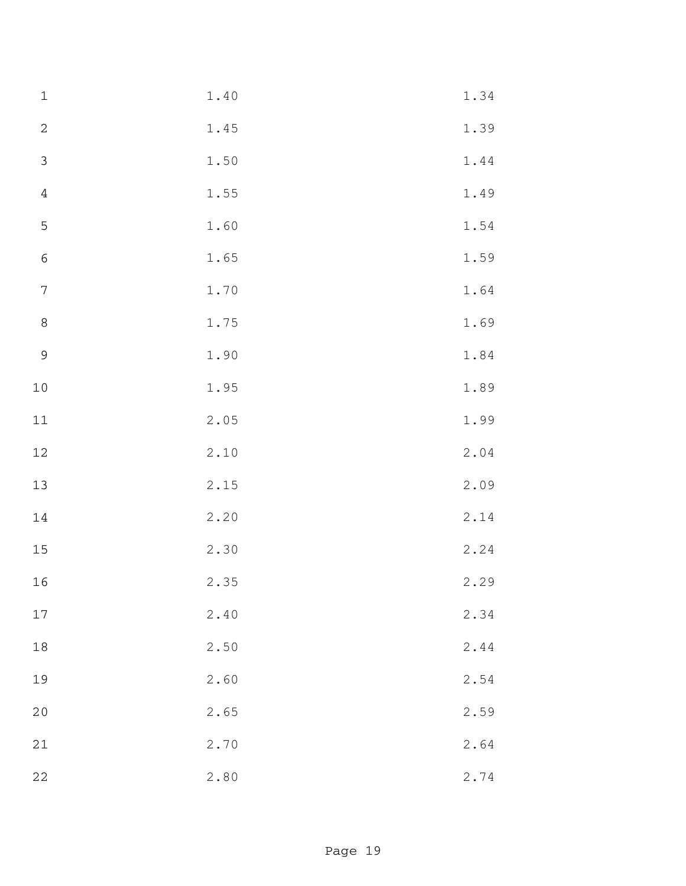| $\mathbf 1$      | $1\,.\,4\,0$ | 1.34 |
|------------------|--------------|------|
| $\sqrt{2}$       | 1.45         | 1.39 |
| $\mathfrak{Z}$   | 1.50         | 1.44 |
| $\sqrt{4}$       | 1.55         | 1.49 |
| $\mathsf S$      | 1.60         | 1.54 |
| $\sqrt{6}$       | 1.65         | 1.59 |
| $\boldsymbol{7}$ | 1.70         | 1.64 |
| $\,8\,$          | 1.75         | 1.69 |
| $\overline{9}$   | 1.90         | 1.84 |
| $10$             | 1.95         | 1.89 |
| $11$             | 2.05         | 1.99 |
| 12               | 2.10         | 2.04 |
| 13               | 2.15         | 2.09 |
| 14               | 2.20         | 2.14 |
| $15\,$           | 2.30         | 2.24 |
| 16               | 2.35         | 2.29 |
| 17               | 2.40         | 2.34 |
| 18               | 2.50         | 2.44 |
| 19               | 2.60         | 2.54 |
| $20$             | 2.65         | 2.59 |
| $21$             | 2.70         | 2.64 |
| $2\sqrt{2}$      | 2.80         | 2.74 |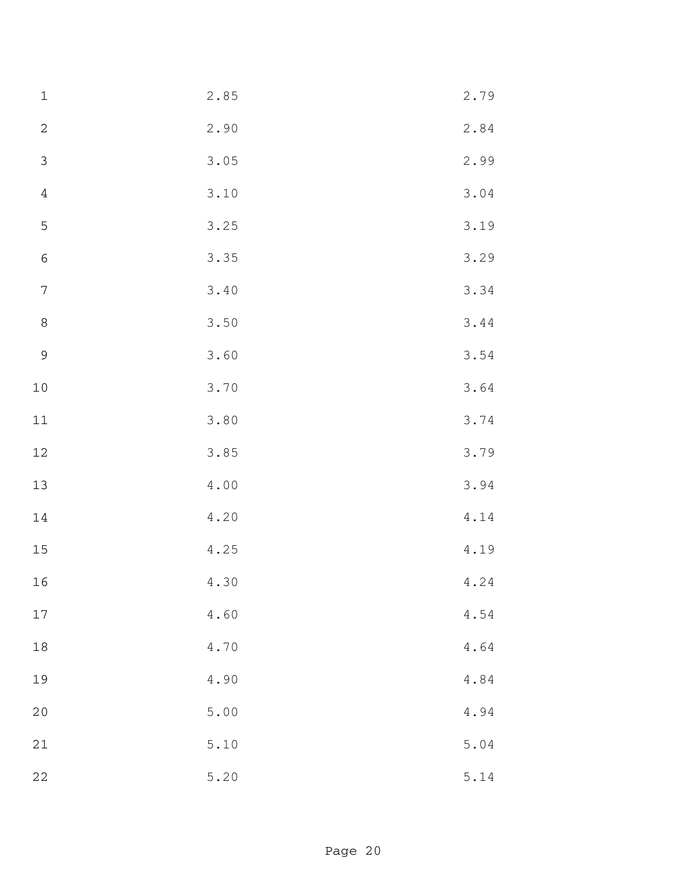| $\mathbf 1$    | 2.85           | 2.79                                           |
|----------------|----------------|------------------------------------------------|
| $\sqrt{2}$     | 2.90           | 2.84                                           |
| $\mathfrak{Z}$ | 3.05           | 2.99                                           |
| $\sqrt{4}$     | 3.10           | 3.04                                           |
| $\mathsf S$    | 3.25           | 3.19                                           |
| $\sqrt{6}$     | 3.35           | 3.29                                           |
| $\sqrt{ }$     | 3.40           | 3.34                                           |
| $\,8\,$        | 3.50           | 3.44                                           |
| $\mathsf 9$    | 3.60           | 3.54                                           |
| $10\,$         | 3.70           | 3.64                                           |
| $11$           | 3.80           | 3.74                                           |
| 12             | 3.85           | 3.79                                           |
| 13             | $4\,$ . $0\,0$ | 3.94                                           |
| 14             | 4.20           | 4.14                                           |
| $15\,$         | 4.25           | 4.19                                           |
| 16             | 4.30           | 4.24                                           |
| 17             | 4.60           | $4\,\raisebox{1pt}{\text{\circle*{1.5}}}\,54$  |
| 18             | 4.70           | $4\centerdot 64$                               |
| 19             | 4.90           | $4\centerdot84$                                |
| $20$           | 5.00           | $4\,\raisebox{1pt}{\text{\circle*{1.5}}}\, 94$ |
| 21             | 5.10           | 5.04                                           |
| $2\sqrt{2}$    | 5.20           | 5.14                                           |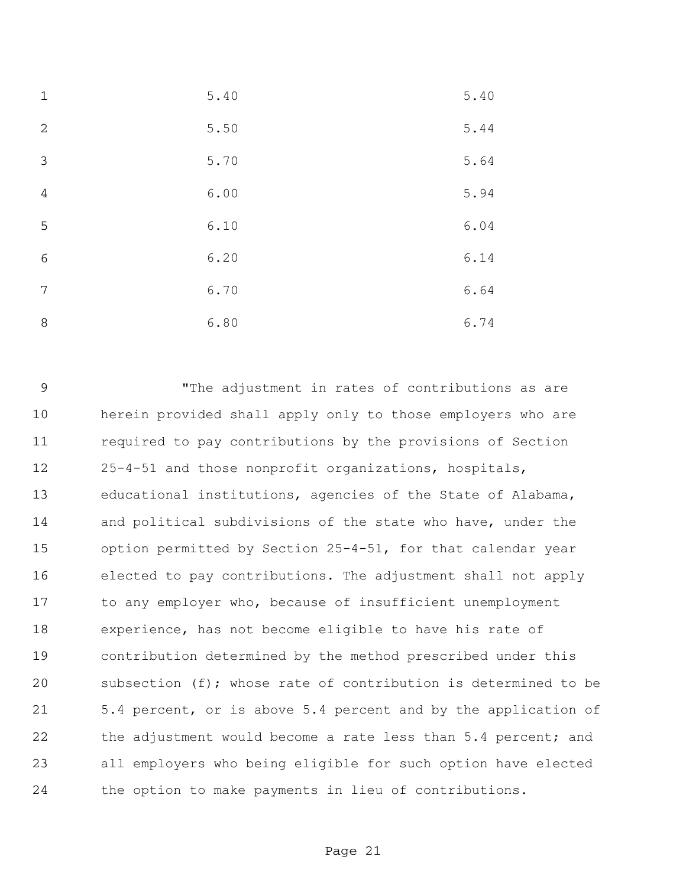| $\mathbf 1$    | 5.40 | 5.40 |
|----------------|------|------|
| 2              | 5.50 | 5.44 |
| 3              | 5.70 | 5.64 |
| $\overline{4}$ | 6.00 | 5.94 |
| 5              | 6.10 | 6.04 |
| 6              | 6.20 | 6.14 |
| 7              | 6.70 | 6.64 |
| 8              | 6.80 | 6.74 |

 "The adjustment in rates of contributions as are herein provided shall apply only to those employers who are required to pay contributions by the provisions of Section 25-4-51 and those nonprofit organizations, hospitals, educational institutions, agencies of the State of Alabama, and political subdivisions of the state who have, under the option permitted by Section 25-4-51, for that calendar year elected to pay contributions. The adjustment shall not apply to any employer who, because of insufficient unemployment experience, has not become eligible to have his rate of contribution determined by the method prescribed under this subsection (f); whose rate of contribution is determined to be 5.4 percent, or is above 5.4 percent and by the application of 22 the adjustment would become a rate less than 5.4 percent; and all employers who being eligible for such option have elected the option to make payments in lieu of contributions.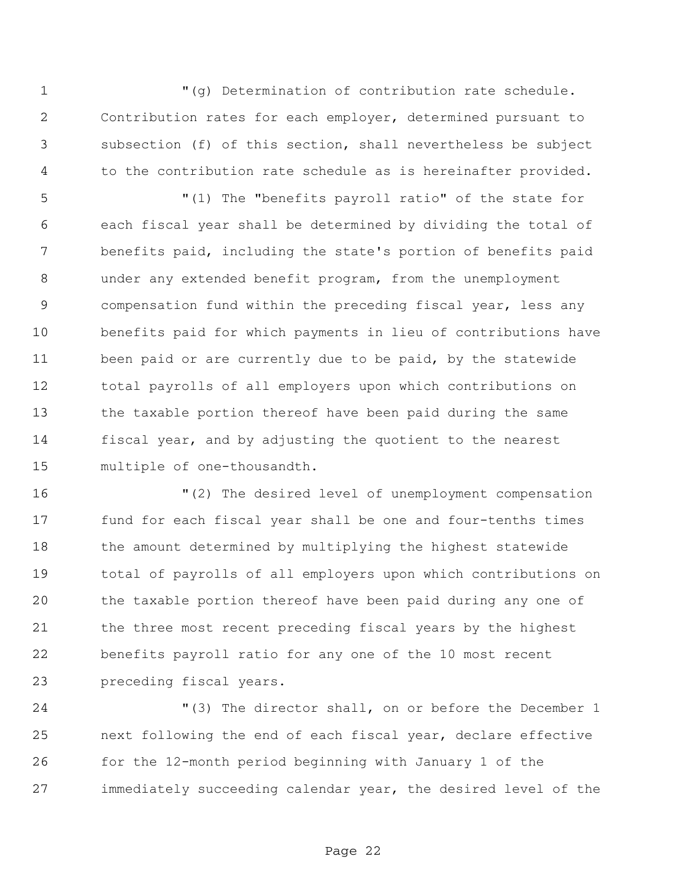"(g) Determination of contribution rate schedule. Contribution rates for each employer, determined pursuant to subsection (f) of this section, shall nevertheless be subject to the contribution rate schedule as is hereinafter provided.

 "(1) The "benefits payroll ratio" of the state for each fiscal year shall be determined by dividing the total of benefits paid, including the state's portion of benefits paid under any extended benefit program, from the unemployment compensation fund within the preceding fiscal year, less any benefits paid for which payments in lieu of contributions have been paid or are currently due to be paid, by the statewide total payrolls of all employers upon which contributions on the taxable portion thereof have been paid during the same fiscal year, and by adjusting the quotient to the nearest multiple of one-thousandth.

 "(2) The desired level of unemployment compensation fund for each fiscal year shall be one and four-tenths times the amount determined by multiplying the highest statewide total of payrolls of all employers upon which contributions on the taxable portion thereof have been paid during any one of the three most recent preceding fiscal years by the highest benefits payroll ratio for any one of the 10 most recent preceding fiscal years.

 "(3) The director shall, on or before the December 1 next following the end of each fiscal year, declare effective for the 12-month period beginning with January 1 of the immediately succeeding calendar year, the desired level of the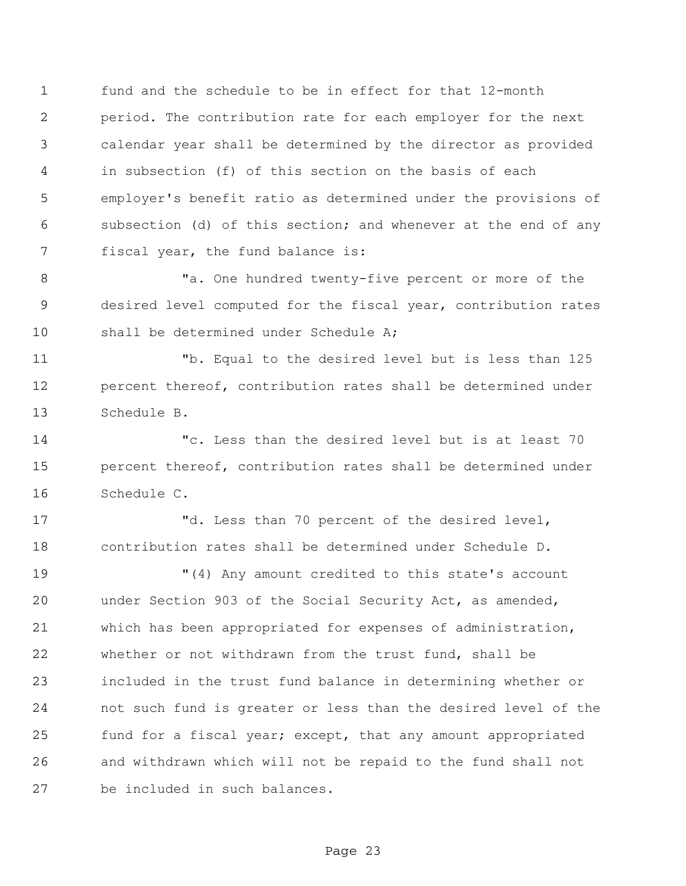fund and the schedule to be in effect for that 12-month period. The contribution rate for each employer for the next calendar year shall be determined by the director as provided in subsection (f) of this section on the basis of each employer's benefit ratio as determined under the provisions of subsection (d) of this section; and whenever at the end of any fiscal year, the fund balance is:

8 Ta. One hundred twenty-five percent or more of the desired level computed for the fiscal year, contribution rates 10 shall be determined under Schedule A;

 "b. Equal to the desired level but is less than 125 percent thereof, contribution rates shall be determined under Schedule B.

 "c. Less than the desired level but is at least 70 percent thereof, contribution rates shall be determined under Schedule C.

 "d. Less than 70 percent of the desired level, contribution rates shall be determined under Schedule D.

 "(4) Any amount credited to this state's account under Section 903 of the Social Security Act, as amended, which has been appropriated for expenses of administration, whether or not withdrawn from the trust fund, shall be included in the trust fund balance in determining whether or not such fund is greater or less than the desired level of the fund for a fiscal year; except, that any amount appropriated and withdrawn which will not be repaid to the fund shall not be included in such balances.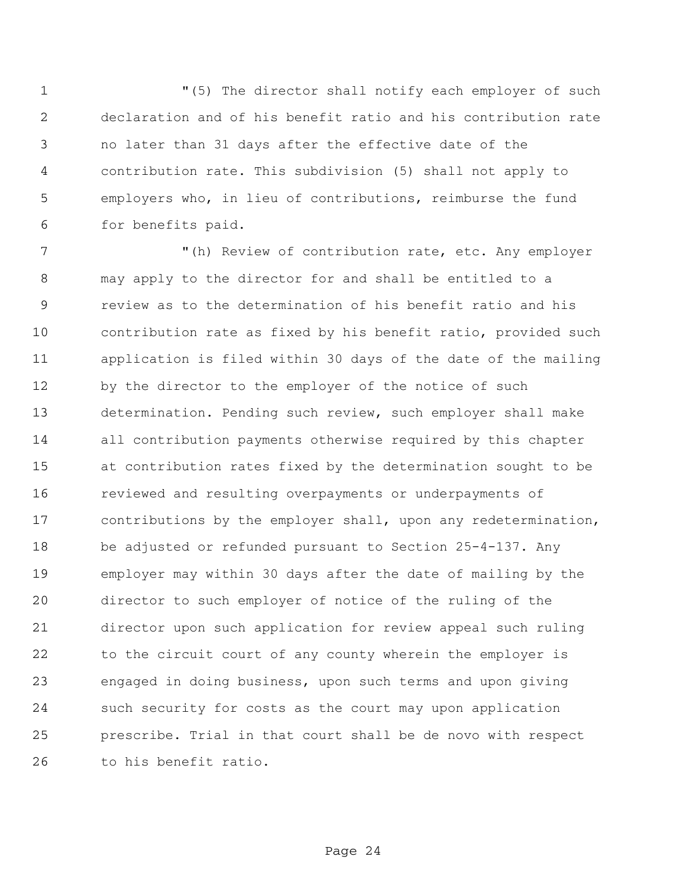"(5) The director shall notify each employer of such declaration and of his benefit ratio and his contribution rate no later than 31 days after the effective date of the contribution rate. This subdivision (5) shall not apply to employers who, in lieu of contributions, reimburse the fund for benefits paid.

 "(h) Review of contribution rate, etc. Any employer may apply to the director for and shall be entitled to a review as to the determination of his benefit ratio and his contribution rate as fixed by his benefit ratio, provided such application is filed within 30 days of the date of the mailing 12 by the director to the employer of the notice of such determination. Pending such review, such employer shall make all contribution payments otherwise required by this chapter at contribution rates fixed by the determination sought to be reviewed and resulting overpayments or underpayments of contributions by the employer shall, upon any redetermination, be adjusted or refunded pursuant to Section 25-4-137. Any employer may within 30 days after the date of mailing by the director to such employer of notice of the ruling of the director upon such application for review appeal such ruling to the circuit court of any county wherein the employer is engaged in doing business, upon such terms and upon giving such security for costs as the court may upon application prescribe. Trial in that court shall be de novo with respect to his benefit ratio.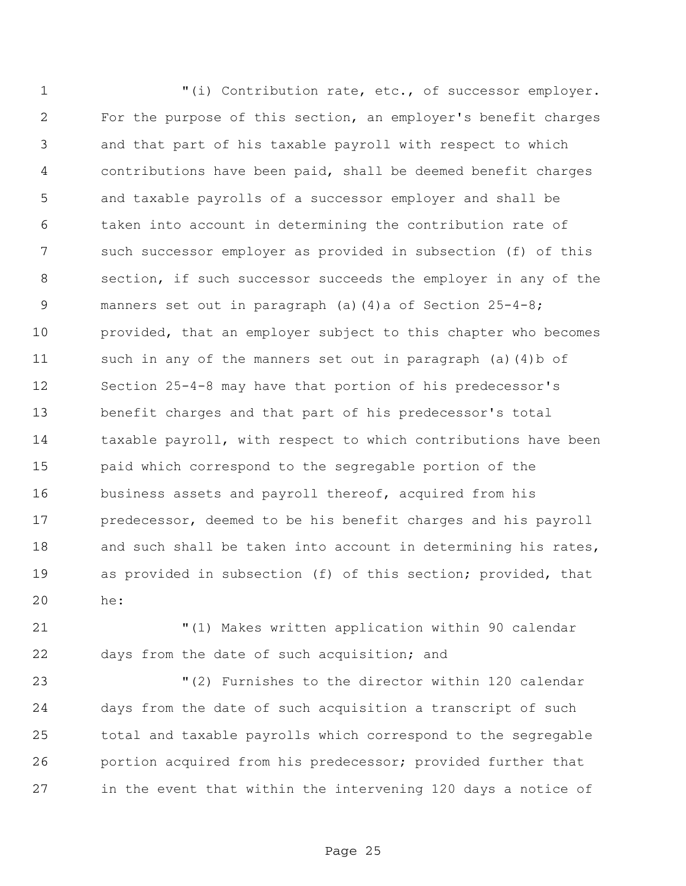"(i) Contribution rate, etc., of successor employer. For the purpose of this section, an employer's benefit charges and that part of his taxable payroll with respect to which contributions have been paid, shall be deemed benefit charges and taxable payrolls of a successor employer and shall be taken into account in determining the contribution rate of such successor employer as provided in subsection (f) of this section, if such successor succeeds the employer in any of the manners set out in paragraph (a)(4)a of Section 25-4-8; provided, that an employer subject to this chapter who becomes such in any of the manners set out in paragraph (a)(4)b of Section 25-4-8 may have that portion of his predecessor's benefit charges and that part of his predecessor's total taxable payroll, with respect to which contributions have been paid which correspond to the segregable portion of the business assets and payroll thereof, acquired from his predecessor, deemed to be his benefit charges and his payroll 18 and such shall be taken into account in determining his rates, as provided in subsection (f) of this section; provided, that he:

 "(1) Makes written application within 90 calendar days from the date of such acquisition; and

 "(2) Furnishes to the director within 120 calendar days from the date of such acquisition a transcript of such total and taxable payrolls which correspond to the segregable portion acquired from his predecessor; provided further that in the event that within the intervening 120 days a notice of